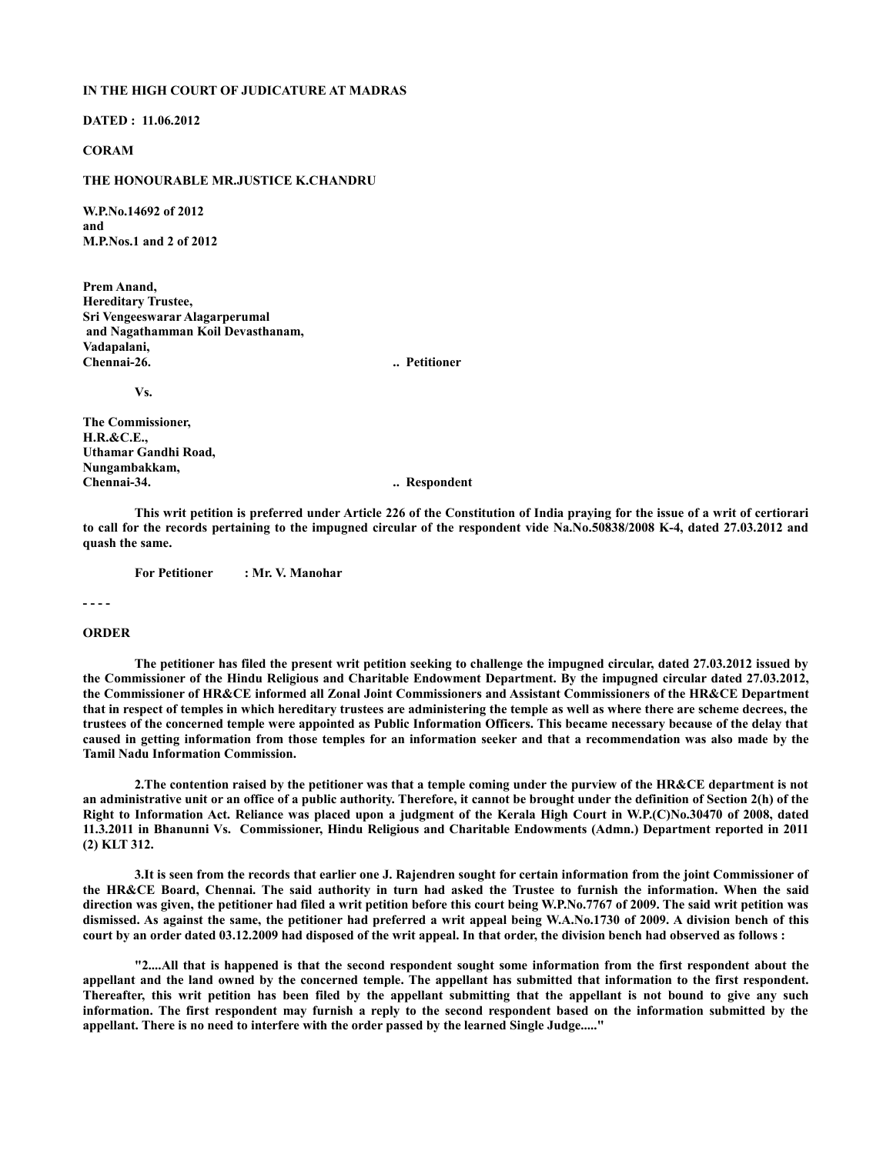## **IN THE HIGH COURT OF JUDICATURE AT MADRAS**

**DATED : 11.06.2012**

## **CORAM**

## **THE HONOURABLE MR.JUSTICE K.CHANDRU**

**W.P.No.14692 of 2012 and M.P.Nos.1 and 2 of 2012**

**Prem Anand, Hereditary Trustee, Sri Vengeeswarar Alagarperumal and Nagathamman Koil Devasthanam, Vadapalani, Chennai-26. .. Petitioner** 

**Vs.**

**The Commissioner, H.R.&C.E., Uthamar Gandhi Road, Nungambakkam, Chennai-34. .. Respondent**

**This writ petition is preferred under Article 226 of the Constitution of India praying for the issue of a writ of certiorari to call for the records pertaining to the impugned circular of the respondent vide Na.No.50838/2008 K-4, dated 27.03.2012 and quash the same.** 

**For Petitioner : Mr. V. Manohar**

**- - - -** 

## **ORDER**

**The petitioner has filed the present writ petition seeking to challenge the impugned circular, dated 27.03.2012 issued by the Commissioner of the Hindu Religious and Charitable Endowment Department. By the impugned circular dated 27.03.2012, the Commissioner of HR&CE informed all Zonal Joint Commissioners and Assistant Commissioners of the HR&CE Department that in respect of temples in which hereditary trustees are administering the temple as well as where there are scheme decrees, the trustees of the concerned temple were appointed as Public Information Officers. This became necessary because of the delay that caused in getting information from those temples for an information seeker and that a recommendation was also made by the Tamil Nadu Information Commission.**

**2.The contention raised by the petitioner was that a temple coming under the purview of the HR&CE department is not an administrative unit or an office of a public authority. Therefore, it cannot be brought under the definition of Section 2(h) of the Right to Information Act. Reliance was placed upon a judgment of the Kerala High Court in W.P.(C)No.30470 of 2008, dated 11.3.2011 in Bhanunni Vs. Commissioner, Hindu Religious and Charitable Endowments (Admn.) Department reported in 2011 (2) KLT 312.**

**3.It is seen from the records that earlier one J. Rajendren sought for certain information from the joint Commissioner of the HR&CE Board, Chennai. The said authority in turn had asked the Trustee to furnish the information. When the said direction was given, the petitioner had filed a writ petition before this court being W.P.No.7767 of 2009. The said writ petition was dismissed. As against the same, the petitioner had preferred a writ appeal being W.A.No.1730 of 2009. A division bench of this court by an order dated 03.12.2009 had disposed of the writ appeal. In that order, the division bench had observed as follows :**

**"2....All that is happened is that the second respondent sought some information from the first respondent about the appellant and the land owned by the concerned temple. The appellant has submitted that information to the first respondent. Thereafter, this writ petition has been filed by the appellant submitting that the appellant is not bound to give any such information. The first respondent may furnish a reply to the second respondent based on the information submitted by the appellant. There is no need to interfere with the order passed by the learned Single Judge....."**